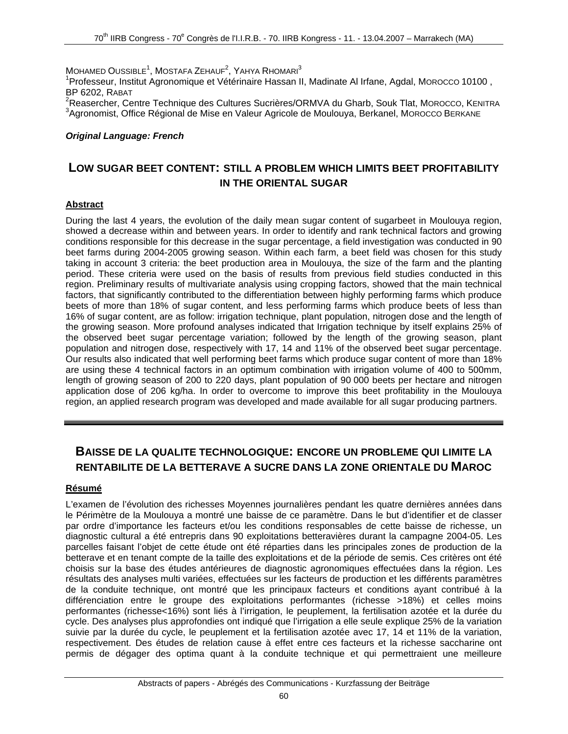$M$ OHAMED  $\rm O$ USSIBLE $^1$ , MOSTAFA ZEHAUF $^2$ , YAHYA RHOMARI $^3$ 

<sup>1</sup>Professeur, Institut Agronomique et Vétérinaire Hassan II, Madinate Al Irfane, Agdal, Morocco 10100, BP 6202, RABAT

<sup>2</sup>Reasercher, Centre Technique des Cultures Sucrières/ORMVA du Gharb, Souk Tlat, Morocco, KENITRA <sup>3</sup>Agronomist, Office Régional de Mise en Valeur Agricole de Moulouya, Berkanel, MOROCCO BERKANE

#### *Original Language: French*

## **LOW SUGAR BEET CONTENT: STILL A PROBLEM WHICH LIMITS BEET PROFITABILITY IN THE ORIENTAL SUGAR**

### **Abstract**

During the last 4 years, the evolution of the daily mean sugar content of sugarbeet in Moulouya region, showed a decrease within and between years. In order to identify and rank technical factors and growing conditions responsible for this decrease in the sugar percentage, a field investigation was conducted in 90 beet farms during 2004-2005 growing season. Within each farm, a beet field was chosen for this study taking in account 3 criteria: the beet production area in Moulouya, the size of the farm and the planting period. These criteria were used on the basis of results from previous field studies conducted in this region. Preliminary results of multivariate analysis using cropping factors, showed that the main technical factors, that significantly contributed to the differentiation between highly performing farms which produce beets of more than 18% of sugar content, and less performing farms which produce beets of less than 16% of sugar content, are as follow: irrigation technique, plant population, nitrogen dose and the length of the growing season. More profound analyses indicated that Irrigation technique by itself explains 25% of the observed beet sugar percentage variation; followed by the length of the growing season, plant population and nitrogen dose, respectively with 17, 14 and 11% of the observed beet sugar percentage. Our results also indicated that well performing beet farms which produce sugar content of more than 18% are using these 4 technical factors in an optimum combination with irrigation volume of 400 to 500mm, length of growing season of 200 to 220 days, plant population of 90 000 beets per hectare and nitrogen application dose of 206 kg/ha. In order to overcome to improve this beet profitability in the Moulouya region, an applied research program was developed and made available for all sugar producing partners.

### **BAISSE DE LA QUALITE TECHNOLOGIQUE: ENCORE UN PROBLEME QUI LIMITE LA RENTABILITE DE LA BETTERAVE A SUCRE DANS LA ZONE ORIENTALE DU MAROC**

#### **Résumé**

L'examen de l'évolution des richesses Moyennes journalières pendant les quatre dernières années dans le Périmètre de la Moulouya a montré une baisse de ce paramètre. Dans le but d'identifier et de classer par ordre d'importance les facteurs et/ou les conditions responsables de cette baisse de richesse, un diagnostic cultural a été entrepris dans 90 exploitations betteravières durant la campagne 2004-05. Les parcelles faisant l'objet de cette étude ont été réparties dans les principales zones de production de la betterave et en tenant compte de la taille des exploitations et de la période de semis. Ces critères ont été choisis sur la base des études antérieures de diagnostic agronomiques effectuées dans la région. Les résultats des analyses multi variées, effectuées sur les facteurs de production et les différents paramètres de la conduite technique, ont montré que les principaux facteurs et conditions ayant contribué à la différenciation entre le groupe des exploitations performantes (richesse >18%) et celles moins performantes (richesse<16%) sont liés à l'irrigation, le peuplement, la fertilisation azotée et la durée du cycle. Des analyses plus approfondies ont indiqué que l'irrigation a elle seule explique 25% de la variation suivie par la durée du cycle, le peuplement et la fertilisation azotée avec 17, 14 et 11% de la variation, respectivement. Des études de relation cause à effet entre ces facteurs et la richesse saccharine ont permis de dégager des optima quant à la conduite technique et qui permettraient une meilleure